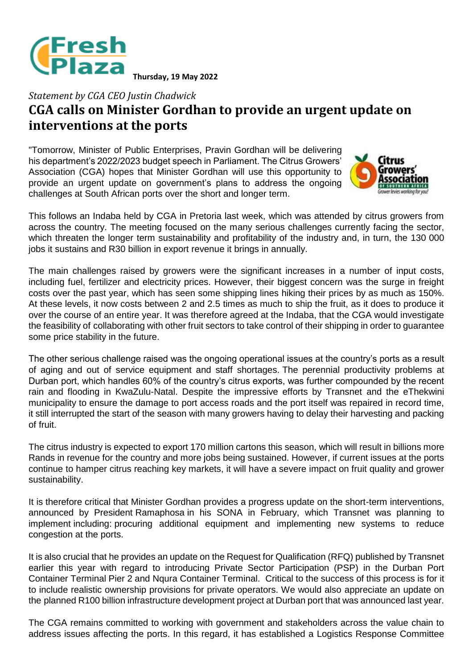

## *Statement by CGA CEO Justin Chadwick* **CGA calls on Minister Gordhan to provide an urgent update on interventions at the ports**

"Tomorrow, Minister of Public Enterprises, Pravin Gordhan will be delivering his department's 2022/2023 budget speech in Parliament. The Citrus Growers' Association (CGA) hopes that Minister Gordhan will use this opportunity to provide an urgent update on government's plans to address the ongoing challenges at South African ports over the short and longer term.



This follows an Indaba held by CGA in Pretoria last week, which was attended by citrus growers from across the country. The meeting focused on the many serious challenges currently facing the sector, which threaten the longer term sustainability and profitability of the industry and, in turn, the 130 000 jobs it sustains and R30 billion in export revenue it brings in annually.

The main challenges raised by growers were the significant increases in a number of input costs, including fuel, fertilizer and electricity prices. However, their biggest concern was the surge in freight costs over the past year, which has seen some shipping lines hiking their prices by as much as 150%. At these levels, it now costs between 2 and 2.5 times as much to ship the fruit, as it does to produce it over the course of an entire year. It was therefore agreed at the Indaba, that the CGA would investigate the feasibility of collaborating with other fruit sectors to take control of their shipping in order to guarantee some price stability in the future.

The other serious challenge raised was the ongoing operational issues at the country's ports as a result of aging and out of service equipment and staff shortages. The perennial productivity problems at Durban port, which handles 60% of the country's citrus exports, was further compounded by the recent rain and flooding in KwaZulu-Natal. Despite the impressive efforts by Transnet and the eThekwini municipality to ensure the damage to port access roads and the port itself was repaired in record time, it still interrupted the start of the season with many growers having to delay their harvesting and packing of fruit.

The citrus industry is expected to export 170 million cartons this season, which will result in billions more Rands in revenue for the country and more jobs being sustained. However, if current issues at the ports continue to hamper citrus reaching key markets, it will have a severe impact on fruit quality and grower sustainability.

It is therefore critical that Minister Gordhan provides a progress update on the short-term interventions, announced by President Ramaphosa in his SONA in February, which Transnet was planning to implement including: procuring additional equipment and implementing new systems to reduce congestion at the ports.

It is also crucial that he provides an update on the Request for Qualification (RFQ) published by Transnet earlier this year with regard to introducing Private Sector Participation (PSP) in the Durban Port Container Terminal Pier 2 and Nqura Container Terminal. Critical to the success of this process is for it to include realistic ownership provisions for private operators. We would also appreciate an update on the planned R100 billion infrastructure development project at Durban port that was announced last year.

The CGA remains committed to working with government and stakeholders across the value chain to address issues affecting the ports. In this regard, it has established a Logistics Response Committee